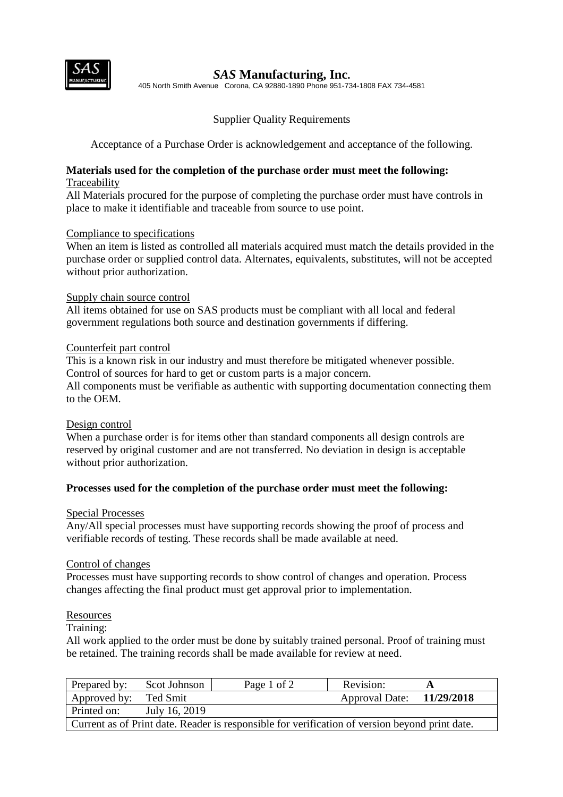

## *SAS* **Manufacturing, Inc.**

405 North Smith Avenue Corona, CA 92880-1890 Phone 951-734-1808 FAX 734-4581

## Supplier Quality Requirements

Acceptance of a Purchase Order is acknowledgement and acceptance of the following.

## **Materials used for the completion of the purchase order must meet the following:** Traceability

All Materials procured for the purpose of completing the purchase order must have controls in place to make it identifiable and traceable from source to use point.

## Compliance to specifications

When an item is listed as controlled all materials acquired must match the details provided in the purchase order or supplied control data. Alternates, equivalents, substitutes, will not be accepted without prior authorization.

## Supply chain source control

All items obtained for use on SAS products must be compliant with all local and federal government regulations both source and destination governments if differing.

## Counterfeit part control

This is a known risk in our industry and must therefore be mitigated whenever possible. Control of sources for hard to get or custom parts is a major concern.

All components must be verifiable as authentic with supporting documentation connecting them to the OEM.

#### Design control

When a purchase order is for items other than standard components all design controls are reserved by original customer and are not transferred. No deviation in design is acceptable without prior authorization.

#### **Processes used for the completion of the purchase order must meet the following:**

#### Special Processes

Any/All special processes must have supporting records showing the proof of process and verifiable records of testing. These records shall be made available at need.

#### Control of changes

Processes must have supporting records to show control of changes and operation. Process changes affecting the final product must get approval prior to implementation.

#### **Resources**

#### Training:

All work applied to the order must be done by suitably trained personal. Proof of training must be retained. The training records shall be made available for review at need.

| Prepared by:                                                                                   | Scot Johnson  | Page 1 of 2 | Revision:                 |  |  |  |
|------------------------------------------------------------------------------------------------|---------------|-------------|---------------------------|--|--|--|
| Approved by: Ted Smit                                                                          |               |             | Approval Date: 11/29/2018 |  |  |  |
| Printed on:                                                                                    | July 16, 2019 |             |                           |  |  |  |
| Current as of Print date. Reader is responsible for verification of version beyond print date. |               |             |                           |  |  |  |